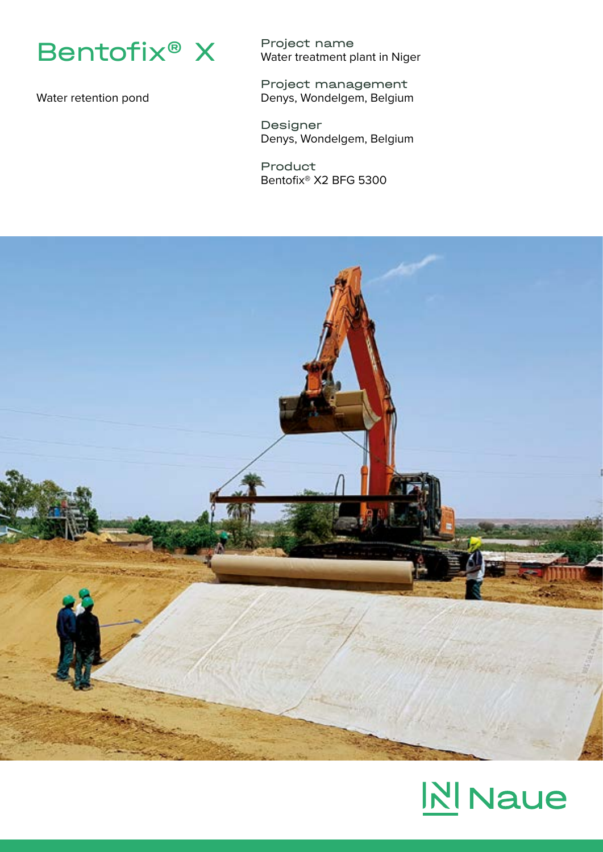

Water retention pond

Project name Water treatment plant in Niger

Project management Denys, Wondelgem, Belgium

Designer Denys, Wondelgem, Belgium

Product Bentofix® X2 BFG 5300



## **N** Naue